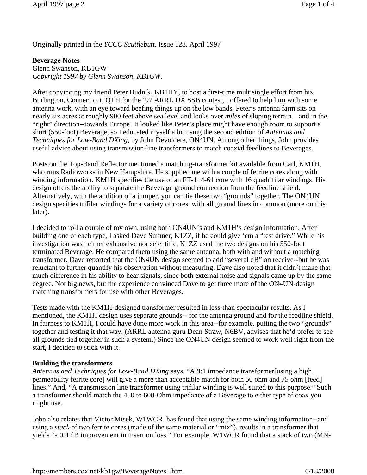Originally printed in the *YCCC Scuttlebutt*, Issue 128, April 1997

### **Beverage Notes**

Glenn Swanson, KB1GW *Copyright 1997 by Glenn Swanson, KB1GW.*

After convincing my friend Peter Budnik, KB1HY, to host a first-time multisingle effort from his Burlington, Connecticut, QTH for the '97 ARRL DX SSB contest, I offered to help him with some antenna work, with an eye toward beefing things up on the low bands. Peter's antenna farm sits on nearly six acres at roughly 900 feet above sea level and looks over *miles* of sloping terrain—and in the "right" direction--towards Europe! It looked like Peter's place might have enough room to support a short (550-foot) Beverage, so I educated myself a bit using the second edition of *Antennas and Techniques for Low-Band DXing*, by John Devoldere, ON4UN. Among other things, John provides useful advice about using transmission-line transformers to match coaxial feedlines to Beverages.

Posts on the Top-Band Reflector mentioned a matching-transformer kit available from Carl, KM1H, who runs Radioworks in New Hampshire. He supplied me with a couple of ferrite cores along with winding information. KM1H specifies the use of an FT-114-61 core with 16 quadrifilar windings. His design offers the ability to separate the Beverage ground connection from the feedline shield. Alternatively, with the addition of a jumper, you can tie these two "grounds" together. The ON4UN design specifies trifilar windings for a variety of cores, with all ground lines in common (more on this later).

I decided to roll a couple of my own, using both ON4UN's and KM1H's design information. After building one of each type, I asked Dave Sumner, K1ZZ, if he could give 'em a "test drive." While his investigation was neither exhaustive nor scientific, K1ZZ used the two designs on his 550-foot terminated Beverage. He compared them using the same antenna, both with and without a matching transformer. Dave reported that the ON4UN design seemed to add "several dB" on receive--but he was reluctant to further quantify his observation without measuring. Dave also noted that it didn't make that much difference in his ability to hear signals, since both external noise and signals came up by the same degree. Not big news, but the experience convinced Dave to get three more of the ON4UN-design matching transformers for use with other Beverages.

Tests made with the KM1H-designed transformer resulted in less-than spectacular results. As I mentioned, the KM1H design uses separate grounds-- for the antenna ground and for the feedline shield. In fairness to KM1H, I could have done more work in this area--for example, putting the two "grounds" together and testing it that way. (ARRL antenna guru Dean Straw, N6BV, advises that he'd prefer to see all grounds tied together in such a system.) Since the ON4UN design seemed to work well right from the start, I decided to stick with it.

### **Building the transformers**

*Antennas and Techniques for Low-Band DXing* says, "A 9:1 impedance transformer[using a high permeability ferrite core] will give a more than acceptable match for both 50 ohm and 75 ohm [feed] lines." And, "A transmission line transformer using trifilar winding is well suited to this purpose." Such a transformer should match the 450 to 600-Ohm impedance of a Beverage to either type of coax you might use.

John also relates that Victor Misek, W1WCR, has found that using the same winding information--and using a *stack* of two ferrite cores (made of the same material or "mix"), results in a transformer that yields "a 0.4 dB improvement in insertion loss." For example, W1WCR found that a stack of two (MN-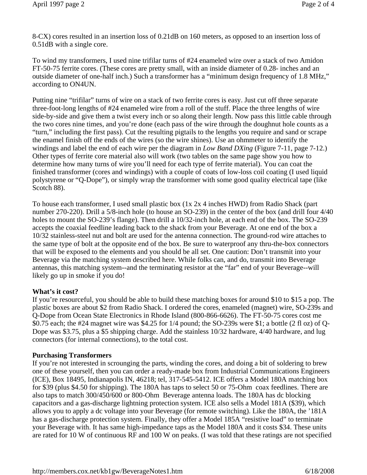8-CX) cores resulted in an insertion loss of 0.21dB on 160 meters, as opposed to an insertion loss of 0.51dB with a single core.

To wind my transformers, I used nine trifilar turns of #24 enameled wire over a stack of two Amidon FT-50-75 ferrite cores. (These cores are pretty small, with an inside diameter of 0.28- inches and an outside diameter of one-half inch.) Such a transformer has a "minimum design frequency of 1.8 MHz," according to ON4UN.

Putting nine "trifilar" turns of wire on a stack of two ferrite cores is easy. Just cut off three separate three-foot-long lengths of #24 enameled wire from a roll of the stuff. Place the three lengths of wire side-by-side and give them a twist every inch or so along their length. Now pass this little cable through the two cores nine times, and you're done (each pass of the wire through the doughnut hole counts as a "turn," including the first pass). Cut the resulting pigtails to the lengths you require and sand or scrape the enamel finish off the ends of the wires (so the wire shines). Use an ohmmeter to identify the windings and label the end of each wire per the diagram in *Low Band DXing* (Figure 7-11, page 7-12.) Other types of ferrite core material also will work (two tables on the same page show you how to determine how many turns of wire you'll need for each type of ferrite material). You can coat the finished transformer (cores and windings) with a couple of coats of low-loss coil coating (I used liquid polystyrene or "Q-Dope"), or simply wrap the transformer with some good quality electrical tape (like Scotch 88).

To house each transformer, I used small plastic box (1x 2x 4 inches HWD) from Radio Shack (part number 270-220). Drill a 5/8-inch hole (to house an SO-239) in the center of the box (and drill four 4/40 holes to mount the SO-239's flange). Then drill a 10/32-inch hole, at each end of the box. The SO-239 accepts the coaxial feedline leading back to the shack from your Beverage. At one end of the box a 10/32 stainless-steel nut and bolt are used for the antenna connection. The ground-rod wire attaches to the same type of bolt at the opposite end of the box. Be sure to waterproof any thru-the-box connectors that will be exposed to the elements and you should be all set. One caution: Don't transmit into your Beverage via the matching system described here. While folks can, and do, transmit into Beverage antennas, this matching system--and the terminating resistor at the "far" end of your Beverage--will likely go up in smoke if you do!

### **What's it cost?**

If you're resourceful, you should be able to build these matching boxes for around \$10 to \$15 a pop. The plastic boxes are about \$2 from Radio Shack. I ordered the cores, enameled (magnet) wire, SO-239s and Q-Dope from Ocean State Electronics in Rhode Island (800-866-6626). The FT-50-75 cores cost me \$0.75 each; the #24 magnet wire was \$4.25 for 1/4 pound; the SO-239s were \$1; a bottle (2 fl oz) of Q-Dope was \$3.75, plus a \$5 shipping charge. Add the stainless 10/32 hardware, 4/40 hardware, and lug connectors (for internal connections), to the total cost.

### **Purchasing Transformers**

If you're not interested in scrounging the parts, winding the cores, and doing a bit of soldering to brew one of these yourself, then you can order a ready-made box from Industrial Communications Engineers (ICE), Box 18495, Indianapolis IN, 46218; tel, 317-545-5412. ICE offers a Model 180A matching box for \$39 (plus \$4.50 for shipping). The 180A has taps to select 50 or 75-Ohm coax feedlines. There are also taps to match 300/450/600 or 800-Ohm Beverage antenna loads. The 180A has dc blocking capacitors and a gas-discharge lightning protection system. ICE also sells a Model 181A (\$39), which allows you to apply a dc voltage into your Beverage (for remote switching). Like the 180A, the '181A has a gas-discharge protection system. Finally, they offer a Model 185A "resistive load" to terminate your Beverage with. It has same high-impedance taps as the Model 180A and it costs \$34. These units are rated for 10 W of continuous RF and 100 W on peaks. (I was told that these ratings are not specified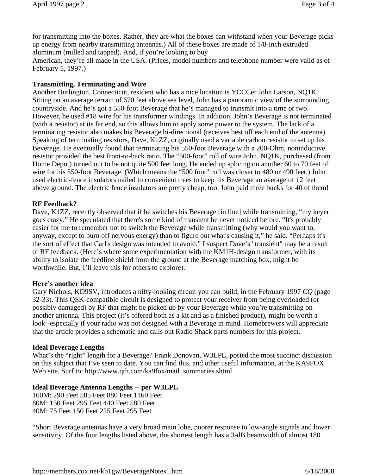for transmitting into the boxes. Rather, they are what the boxes can withstand when your Beverage picks up energy from nearby transmitting antennas.) All of these boxes are made of 1/8-inch extruded aluminum (milled and tapped). And, if you're looking to buy

American, they're all made in the USA. (Prices, model numbers and telephone number were valid as of February 5, 1997.)

## **Transmitting, Terminating and Wire**

Another Burlington, Connecticut, resident who has a nice location is YCCCer John Larson, NQ1K. Sitting on an average terrain of 670 feet above sea level, John has a panoramic view of the surrounding countryside. And he's got a 550-foot Beverage that he's managed to transmit into a time or two. However, he used #18 wire for his transformer windings. In addition, John's Beverage is not terminated (with a resistor) at its far end, so this allows him to apply some power to the system. The lack of a terminating resistor also makes his Beverage bi-directional (receives best off each end of the antenna). Speaking of terminating resistors, Dave, K1ZZ, originally used a variable carbon resistor to set up his Beverage. He eventually found that terminating his 550-foot Beverage with a 200-Ohm, noninductive resistor provided the best front-to-back ratio. The "500-foot" roll of wire John, NQ1K, purchased (from Home Depot) turned out to be not quite 500 feet long. He ended up splicing on another 60 to 70 feet of wire for his 550-foot Beverage. (Which means the "500 foot" roll was closer to 480 or 490 feet.) John used electric-fence insulators nailed to convenient trees to keep his Beverage an average of 12 feet above ground. The electric fence insulators are pretty cheap, too. John paid three bucks for 40 of them!

### **RF Feedback?**

Dave, K1ZZ, recently observed that if he switches his Beverage [in line] while transmitting, "my keyer" goes crazy." He speculated that there's some kind of transient he never noticed before. "It's probably easier for me to remember not to switch the Beverage while transmitting (why would you want to, anyway, except to burn off nervous energy) than to figure out what's causing it," he said. "Perhaps it's the sort of effect that Carl's design was intended to avoid." I suspect Dave's "transient" may be a result of RF feedback. (Here's where some experimentation with the KM1H-design transformer, with its ability to isolate the feedline shield from the ground at the Beverage matching box, might be worthwhile. But, I'll leave this for others to explore).

### **Here's another idea**

Gary Nichols, KD9SV, introduces a nifty-looking circuit you can build, in the February 1997 *CQ* (page 32-33). This QSK-compatible circuit is designed to protect your receiver from being overloaded (or possibly damaged) by RF that might be picked up by your Beverage while you're transmitting on another antenna. This project (it's offered both as a kit and as a finished product), might be worth a look--especially if your radio was not designed with a Beverage in mind. Homebrewers will appreciate that the article provides a schematic and calls out Radio Shack parts numbers for this project.

#### **Ideal Beverage Lengths**

What's the "right" length for a Beverage? Frank Donovan, W3LPL, posted the most succinct discussion on this subject that I've seen to date. You can find this, and other useful information, at the KA9FOX Web site. Surf to: http://www.qth.com/ka9fox/mail\_summaries.shtml

### **Ideal Beverage Antenna Lengths -- per W3LPL**

160M: 290 Feet 585 Feet 880 Feet 1160 Feet 80M: 150 Feet 295 Feet 440 Feet 580 Feet 40M: 75 Feet 150 Feet 225 Feet 295 Feet

"Short Beverage antennas have a very broad main lobe, poorer response to low-angle signals and lower sensitivity. Of the four lengths listed above, the shortest length has a 3-dB beamwidth of almost 180